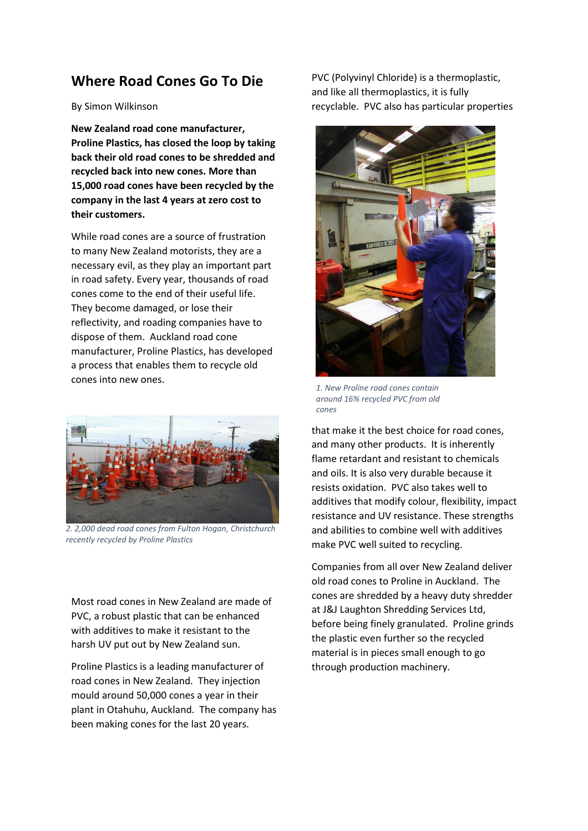## Where Road Cones Go To Die

## By Simon Wilkinson

New Zealand road cone manufacturer, Proline Plastics, has closed the loop by taking back their old road cones to be shredded and recycled back into new cones. More than 15,000 road cones have been recycled by the company in the last 4 years at zero cost to their customers.

While road cones are a source of frustration to many New Zealand motorists, they are a necessary evil, as they play an important part in road safety. Every year, thousands of road cones come to the end of their useful life. They become damaged, or lose their reflectivity, and roading companies have to dispose of them. Auckland road cone manufacturer, Proline Plastics, has developed a process that enables them to recycle old cones into new ones.



2. 2,000 dead road cones from Fulton Hogan, Christchurch recently recycled by Proline Plastics

Most road cones in New Zealand are made of PVC, a robust plastic that can be enhanced with additives to make it resistant to the harsh UV put out by New Zealand sun.

Proline Plastics is a leading manufacturer of road cones in New Zealand. They injection mould around 50,000 cones a year in their plant in Otahuhu, Auckland. The company has been making cones for the last 20 years.

PVC (Polyvinyl Chloride) is a thermoplastic, and like all thermoplastics, it is fully recyclable. PVC also has particular properties



1. New Proline road cones contain around 16% recycled PVC from old cones

that make it the best choice for road cones, and many other products. It is inherently flame retardant and resistant to chemicals and oils. It is also very durable because it resists oxidation. PVC also takes well to additives that modify colour, flexibility, impact resistance and UV resistance. These strengths and abilities to combine well with additives make PVC well suited to recycling.

Companies from all over New Zealand deliver old road cones to Proline in Auckland. The cones are shredded by a heavy duty shredder at J&J Laughton Shredding Services Ltd, before being finely granulated. Proline grinds the plastic even further so the recycled material is in pieces small enough to go through production machinery.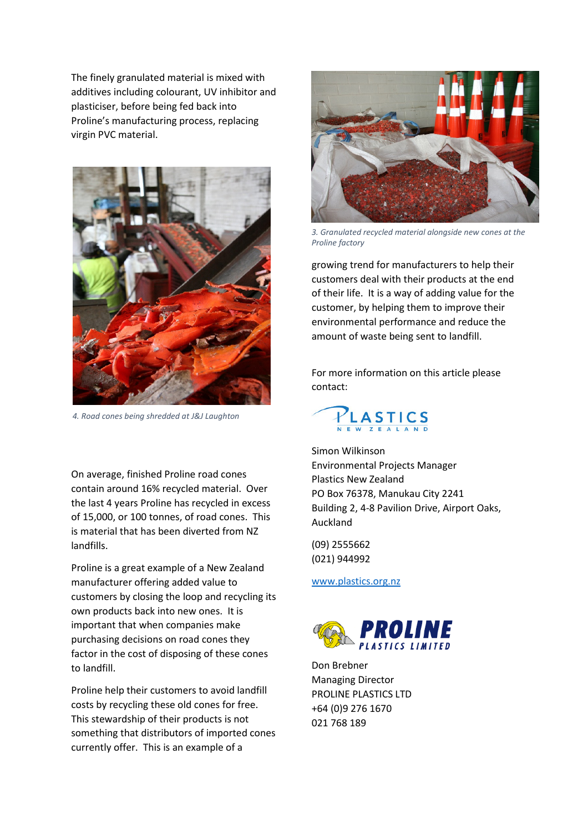The finely granulated material is mixed with additives including colourant, UV inhibitor and plasticiser, before being fed back into Proline's manufacturing process, replacing virgin PVC material.



4. Road cones being shredded at J&J Laughton

On average, finished Proline road cones contain around 16% recycled material. Over the last 4 years Proline has recycled in excess of 15,000, or 100 tonnes, of road cones. This is material that has been diverted from NZ landfills.

Proline is a great example of a New Zealand manufacturer offering added value to customers by closing the loop and recycling its own products back into new ones. It is important that when companies make purchasing decisions on road cones they factor in the cost of disposing of these cones to landfill.

Proline help their customers to avoid landfill costs by recycling these old cones for free. This stewardship of their products is not something that distributors of imported cones currently offer. This is an example of a



3. Granulated recycled material alongside new cones at the Proline factory

growing trend for manufacturers to help their customers deal with their products at the end of their life. It is a way of adding value for the customer, by helping them to improve their environmental performance and reduce the amount of waste being sent to landfill.

For more information on this article please contact:



Simon Wilkinson Environmental Projects Manager Plastics New Zealand PO Box 76378, Manukau City 2241 Building 2, 4-8 Pavilion Drive, Airport Oaks, Auckland

(09) 2555662 (021) 944992

www.plastics.org.nz



Don Brebner Managing Director PROLINE PLASTICS LTD +64 (0)9 276 1670 021 768 189